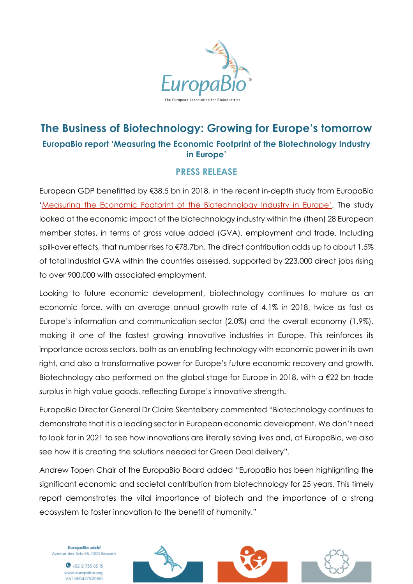

## **The Business of Biotechnology: Growing for Europe's tomorrow EuropaBio report 'Measuring the Economic Footprint of the Biotechnology Industry in Europe'**

## **PRESS RELEASE**

European GDP benefitted by €38.5 bn in 2018, in the recent in-depth study from EuropaBio ['Measuring the Economic Footprint of the Biotechnology Industry in Europe'](https://www.europabio.org/wp-content/uploads/2021/02/201208_WifOR_EuropaBIO_Economic_Impact_Biotech_FINAL.pdf). The study looked at the economic impact of the biotechnology industry within the (then) 28 European member states, in terms of gross value added (GVA), employment and trade. Including spill-over effects, that number rises to €78.7bn. The direct contribution adds up to about 1.5% of total industrial GVA within the countries assessed, supported by 223,000 direct jobs rising to over 900,000 with associated employment.

Looking to future economic development, biotechnology continues to mature as an economic force, with an average annual growth rate of 4.1% in 2018, twice as fast as Europe's information and communication sector (2.0%) and the overall economy (1.9%), making it one of the fastest growing innovative industries in Europe. This reinforces its importance across sectors, both as an enabling technology with economic power in its own right, and also a transformative power for Europe's future economic recovery and growth. Biotechnology also performed on the global stage for Europe in 2018, with a €22 bn trade surplus in high value goods, reflecting Europe's innovative strength.

EuropaBio Director General Dr Claire Skentelbery commented "Biotechnology continues to demonstrate that it is a leading sector in European economic development. We don't need to look far in 2021 to see how innovations are literally saving lives and, at EuropaBio, we also see how it is creating the solutions needed for Green Deal delivery".

Andrew Topen Chair of the EuropaBio Board added "EuropaBio has been highlighting the significant economic and societal contribution from biotechnology for 25 years. This timely report demonstrates the vital importance of biotech and the importance of a strong ecosystem to foster innovation to the benefit of humanity."

EuropaBio aisbl Avenue des Arts 53, 1000 Brussels

> $\bullet$  +32 2 735 03 13 www.europabio.org VAT BE0477520310